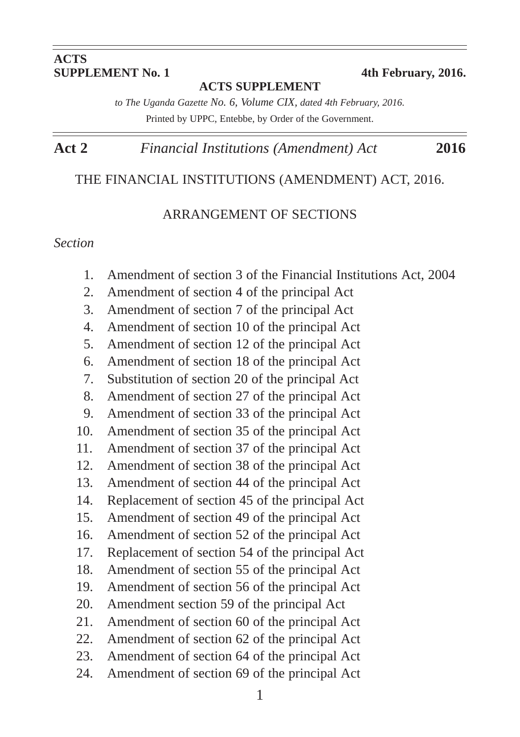# **ACTS**<br>**SUPPLEMENT** No. 1

#### **ACTS SUPPLEMENT**

**SUPPLEMENT No. 1 4th February, 2016.**

*to The Uganda Gazette No. 6, Volume CIX, dated 4th February, 2016.* Printed by UPPC, Entebbe, by Order of the Government.

# **Act 2** *Financial Institutions (Amendment) Act* **2016**

#### THE FINANCIAL INSTITUTIONS (AMENDMENT) ACT, 2016.

#### ARRANGEMENT OF SECTIONS

#### *Section*

- 1. Amendment of section 3 of the Financial Institutions Act, 2004
- 2. Amendment of section 4 of the principal Act
- 3. Amendment of section 7 of the principal Act
- 4. Amendment of section 10 of the principal Act
- 5. Amendment of section 12 of the principal Act
- 6. Amendment of section 18 of the principal Act
- 7. Substitution of section 20 of the principal Act
- 8. Amendment of section 27 of the principal Act
- 9. Amendment of section 33 of the principal Act
- 10. Amendment of section 35 of the principal Act
- 11. Amendment of section 37 of the principal Act
- 12. Amendment of section 38 of the principal Act
- 13. Amendment of section 44 of the principal Act
- 14. Replacement of section 45 of the principal Act
- 15. Amendment of section 49 of the principal Act
- 16. Amendment of section 52 of the principal Act
- 17. Replacement of section 54 of the principal Act
- 18. Amendment of section 55 of the principal Act
- 19. Amendment of section 56 of the principal Act
- 20. Amendment section 59 of the principal Act
- 21. Amendment of section 60 of the principal Act
- 22. Amendment of section 62 of the principal Act
- 23. Amendment of section 64 of the principal Act
- 24. Amendment of section 69 of the principal Act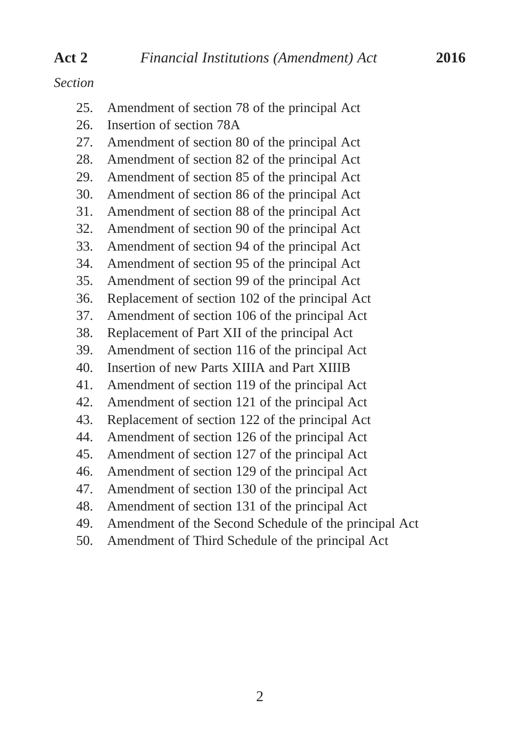#### *Section*

| ction |                                                 |
|-------|-------------------------------------------------|
| 25.   | Amendment of section 78 of the principal Act    |
| 26.   | Insertion of section 78A                        |
| 27.   | Amendment of section 80 of the principal Act    |
| 28.   | Amendment of section 82 of the principal Act    |
| 29.   | Amendment of section 85 of the principal Act    |
| 30.   | Amendment of section 86 of the principal Act    |
| 31.   | Amendment of section 88 of the principal Act    |
| 32.   | Amendment of section 90 of the principal Act    |
| 33.   | Amendment of section 94 of the principal Act    |
| 34.   | Amendment of section 95 of the principal Act    |
| 35.   | Amendment of section 99 of the principal Act    |
| 36.   | Replacement of section 102 of the principal Act |
| 37.   | Amendment of section 106 of the principal Act   |
| 38.   | Replacement of Part XII of the principal Act    |
| 39.   | Amendment of section 116 of the principal Act   |
| 40.   | Insertion of new Parts XIIIA and Part XIIIB     |
| 41.   | Amendment of section 119 of the principal Act   |
| 42.   | Amendment of section 121 of the principal Act   |
| 43.   | Replacement of section 122 of the principal Act |
| 44.   | Amendment of section 126 of the principal Act   |
| 45.   | Amendment of section 127 of the principal Act   |

46. Amendment of section 129 of the principal Act

- 47. Amendment of section 130 of the principal Act
- 48. Amendment of section 131 of the principal Act
- 49. Amendment of the Second Schedule of the principal Act
- 50. Amendment of Third Schedule of the principal Act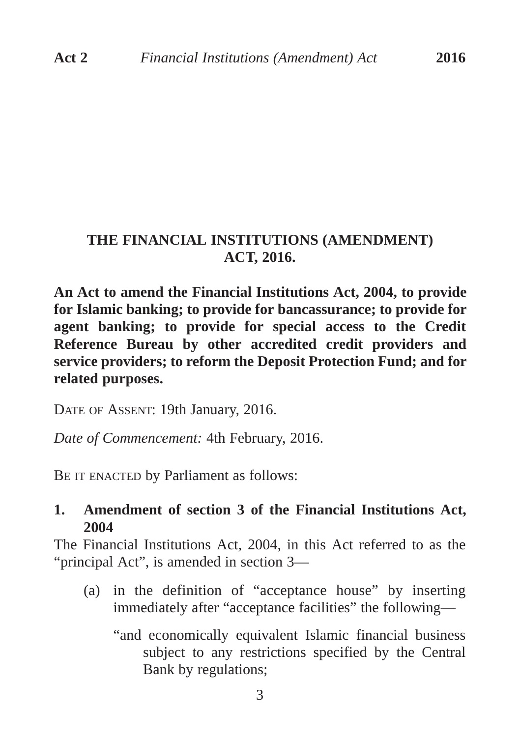# **THE FINANCIAL INSTITUTIONS (AMENDMENT) ACT, 2016.**

**An Act to amend the Financial Institutions Act, 2004, to provide for Islamic banking; to provide for bancassurance; to provide for agent banking; to provide for special access to the Credit Reference Bureau by other accredited credit providers and service providers; to reform the Deposit Protection Fund; and for related purposes.** 

DATE OF ASSENT: 19th January, 2016.

*Date of Commencement:* 4th February, 2016.

BE IT ENACTED by Parliament as follows:

## **1. Amendment of section 3 of the Financial Institutions Act, 2004**

The Financial Institutions Act, 2004, in this Act referred to as the "principal Act", is amended in section 3—

- (a) in the definition of "acceptance house" by inserting immediately after "acceptance facilities" the following—
	- "and economically equivalent Islamic financial business subject to any restrictions specified by the Central Bank by regulations;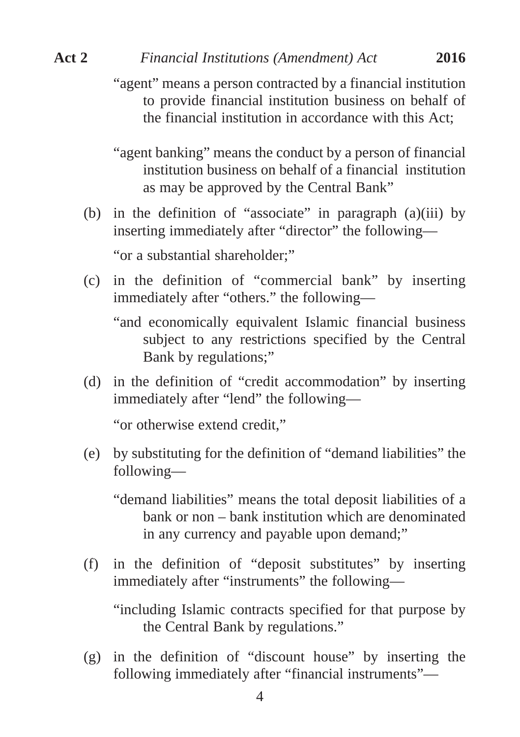"agent" means a person contracted by a financial institution to provide financial institution business on behalf of the financial institution in accordance with this Act;

"agent banking" means the conduct by a person of financial institution business on behalf of a financial institution as may be approved by the Central Bank"

- (b) in the definition of "associate" in paragraph (a)(iii) by inserting immediately after "director" the following— "or a substantial shareholder;"
- (c) in the definition of "commercial bank" by inserting immediately after "others." the following—

"and economically equivalent Islamic financial business subject to any restrictions specified by the Central Bank by regulations;"

(d) in the definition of "credit accommodation" by inserting immediately after "lend" the following—

"or otherwise extend credit,"

(e) by substituting for the definition of "demand liabilities" the following—

"demand liabilities" means the total deposit liabilities of a bank or non – bank institution which are denominated in any currency and payable upon demand;"

(f) in the definition of "deposit substitutes" by inserting immediately after "instruments" the following—

"including Islamic contracts specified for that purpose by the Central Bank by regulations."

(g) in the definition of "discount house" by inserting the following immediately after "financial instruments"—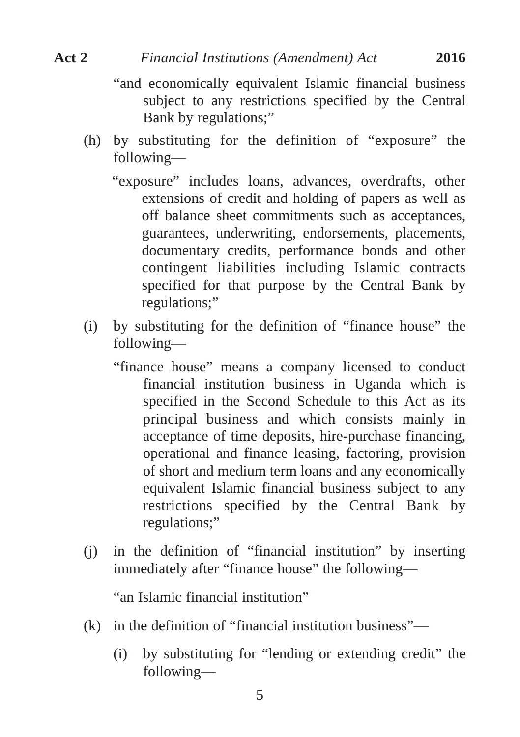- 
- "and economically equivalent Islamic financial business subject to any restrictions specified by the Central Bank by regulations;"
- (h) by substituting for the definition of "exposure" the following—
	- "exposure" includes loans, advances, overdrafts, other extensions of credit and holding of papers as well as off balance sheet commitments such as acceptances, guarantees, underwriting, endorsements, placements, documentary credits, performance bonds and other contingent liabilities including Islamic contracts specified for that purpose by the Central Bank by regulations;"
- (i) by substituting for the definition of "finance house" the following—
	- "finance house" means a company licensed to conduct financial institution business in Uganda which is specified in the Second Schedule to this Act as its principal business and which consists mainly in acceptance of time deposits, hire-purchase financing, operational and finance leasing, factoring, provision of short and medium term loans and any economically equivalent Islamic financial business subject to any restrictions specified by the Central Bank by regulations;"
- (j) in the definition of "financial institution" by inserting immediately after "finance house" the following—

"an Islamic financial institution"

- (k) in the definition of "financial institution business"—
	- (i) by substituting for "lending or extending credit" the following—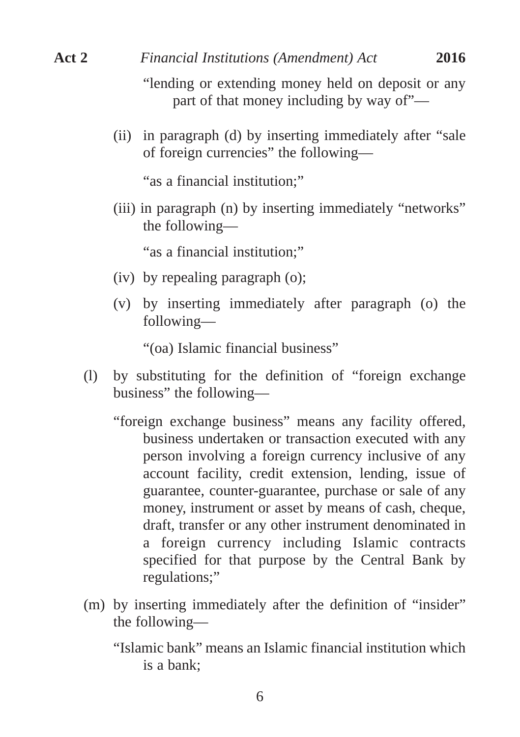"lending or extending money held on deposit or any part of that money including by way of"—

(ii) in paragraph (d) by inserting immediately after "sale of foreign currencies" the following—

"as a financial institution;"

(iii) in paragraph (n) by inserting immediately "networks" the following—

"as a financial institution;"

- (iv) by repealing paragraph (o);
- (v) by inserting immediately after paragraph (o) the following—

"(oa) Islamic financial business"

- (l) by substituting for the definition of "foreign exchange business" the following—
	- "foreign exchange business" means any facility offered, business undertaken or transaction executed with any person involving a foreign currency inclusive of any account facility, credit extension, lending, issue of guarantee, counter-guarantee, purchase or sale of any money, instrument or asset by means of cash, cheque, draft, transfer or any other instrument denominated in a foreign currency including Islamic contracts specified for that purpose by the Central Bank by regulations;"
- (m) by inserting immediately after the definition of "insider" the following—
	- "Islamic bank" means an Islamic financial institution which is a bank;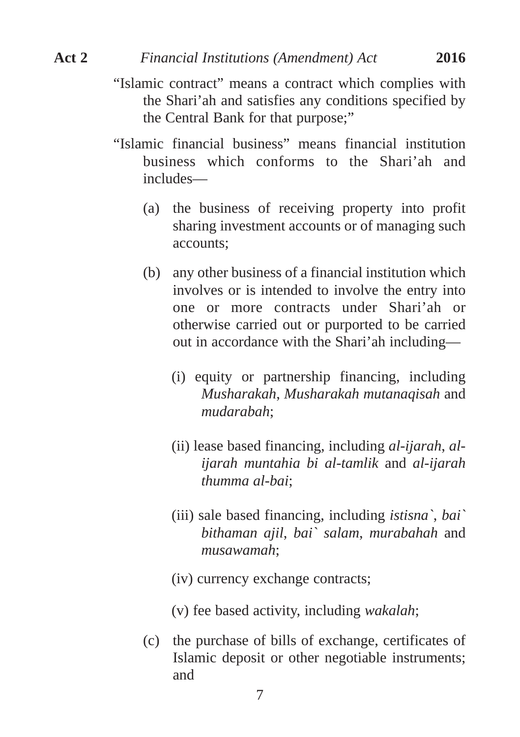- 
- "Islamic contract" means a contract which complies with the Shari'ah and satisfies any conditions specified by the Central Bank for that purpose;"
- "Islamic financial business" means financial institution business which conforms to the Shari'ah and includes—
	- (a) the business of receiving property into profit sharing investment accounts or of managing such accounts;
	- (b) any other business of a financial institution which involves or is intended to involve the entry into one or more contracts under Shari'ah or otherwise carried out or purported to be carried out in accordance with the Shari'ah including—
		- (i) equity or partnership financing, including *Musharakah*, *Musharakah mutanaqisah* and *mudarabah*;
		- (ii) lease based financing, including *al-ijarah*, *alijarah muntahia bi al-tamlik* and *al-ijarah thumma al-bai*;
		- (iii) sale based financing, including *istisna`*, *bai` bithaman ajil*, *bai` salam*, *murabahah* and *musawamah*;
		- (iv) currency exchange contracts;
		- (v) fee based activity, including *wakalah*;
	- (c) the purchase of bills of exchange, certificates of Islamic deposit or other negotiable instruments; and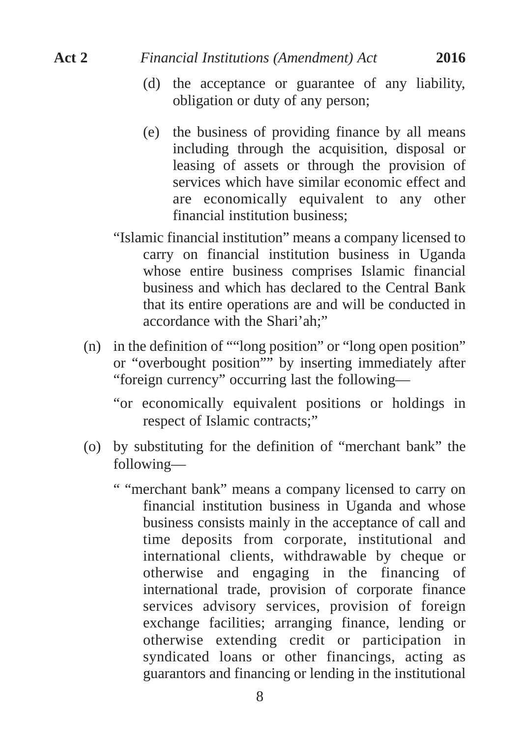- (d) the acceptance or guarantee of any liability, obligation or duty of any person;
- (e) the business of providing finance by all means including through the acquisition, disposal or leasing of assets or through the provision of services which have similar economic effect and are economically equivalent to any other financial institution business;
- "Islamic financial institution" means a company licensed to carry on financial institution business in Uganda whose entire business comprises Islamic financial business and which has declared to the Central Bank that its entire operations are and will be conducted in accordance with the Shari'ah;"
- (n) in the definition of ""long position" or "long open position" or "overbought position"" by inserting immediately after "foreign currency" occurring last the following—
	- "or economically equivalent positions or holdings in respect of Islamic contracts;"
- (o) by substituting for the definition of "merchant bank" the following—
	- " "merchant bank" means a company licensed to carry on financial institution business in Uganda and whose business consists mainly in the acceptance of call and time deposits from corporate, institutional and international clients, withdrawable by cheque or otherwise and engaging in the financing of international trade, provision of corporate finance services advisory services, provision of foreign exchange facilities; arranging finance, lending or otherwise extending credit or participation in syndicated loans or other financings, acting as guarantors and financing or lending in the institutional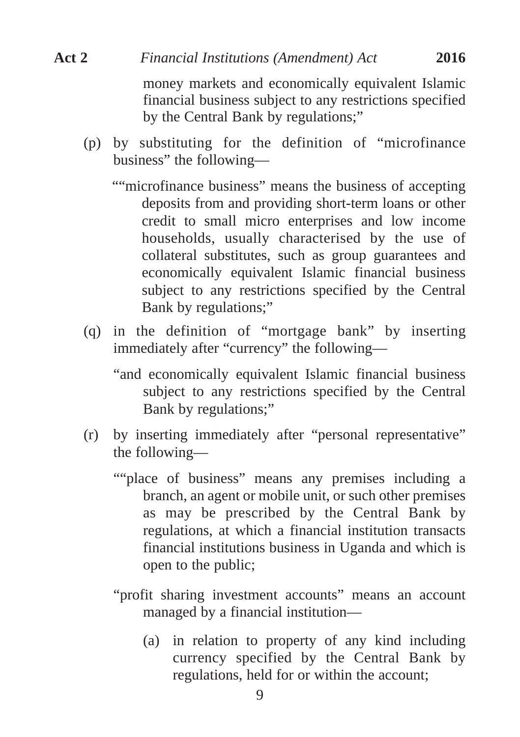# money markets and economically equivalent Islamic financial business subject to any restrictions specified **Act 2** *Financial Institutions (Amendment) Act* **2016**

by the Central Bank by regulations;"

- (p) by substituting for the definition of "microfinance business" the following—
	- ""microfinance business" means the business of accepting deposits from and providing short-term loans or other credit to small micro enterprises and low income households, usually characterised by the use of collateral substitutes, such as group guarantees and economically equivalent Islamic financial business subject to any restrictions specified by the Central Bank by regulations;"
- (q) in the definition of "mortgage bank" by inserting immediately after "currency" the following—
	- "and economically equivalent Islamic financial business subject to any restrictions specified by the Central Bank by regulations;"
- (r) by inserting immediately after "personal representative" the following—
	- ""place of business" means any premises including a branch, an agent or mobile unit, or such other premises as may be prescribed by the Central Bank by regulations, at which a financial institution transacts financial institutions business in Uganda and which is open to the public;
	- "profit sharing investment accounts" means an account managed by a financial institution—
		- (a) in relation to property of any kind including currency specified by the Central Bank by regulations, held for or within the account;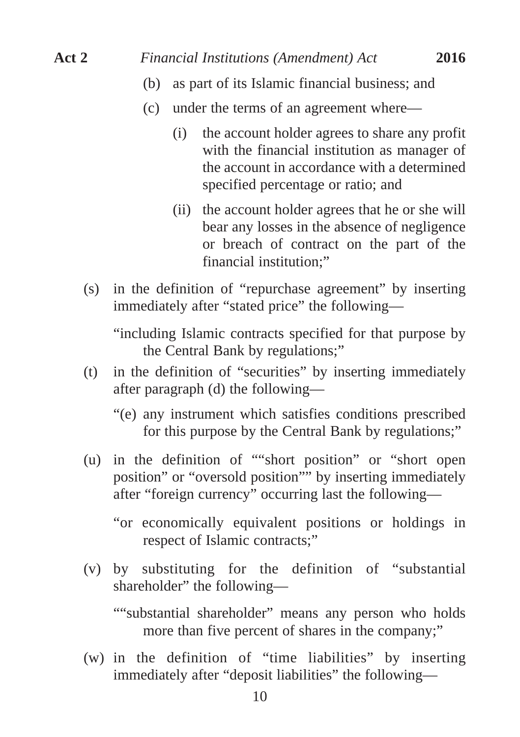- (b) as part of its Islamic financial business; and
- (c) under the terms of an agreement where—
	- (i) the account holder agrees to share any profit with the financial institution as manager of the account in accordance with a determined specified percentage or ratio; and
	- (ii) the account holder agrees that he or she will bear any losses in the absence of negligence or breach of contract on the part of the financial institution;"
- (s) in the definition of "repurchase agreement" by inserting immediately after "stated price" the following—

"including Islamic contracts specified for that purpose by the Central Bank by regulations;"

- (t) in the definition of "securities" by inserting immediately after paragraph (d) the following—
	- "(e) any instrument which satisfies conditions prescribed for this purpose by the Central Bank by regulations;"
- (u) in the definition of ""short position" or "short open position" or "oversold position"" by inserting immediately after "foreign currency" occurring last the following—

"or economically equivalent positions or holdings in respect of Islamic contracts;"

(v) by substituting for the definition of "substantial shareholder" the following—

""substantial shareholder" means any person who holds more than five percent of shares in the company;"

(w) in the definition of "time liabilities" by inserting immediately after "deposit liabilities" the following—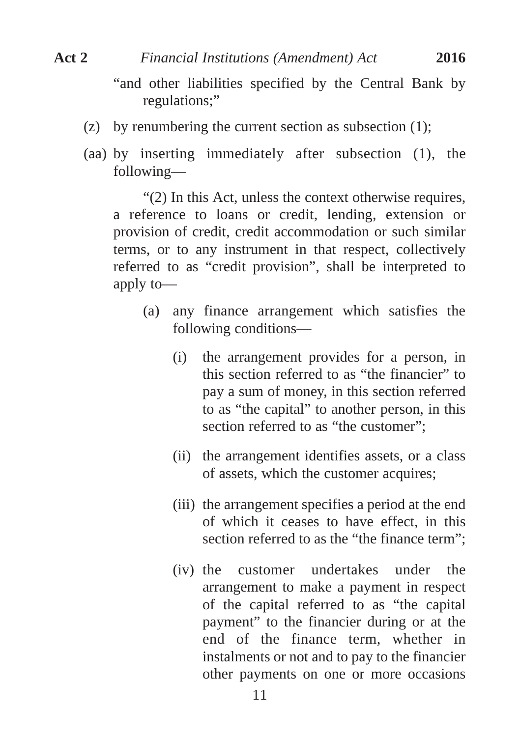"and other liabilities specified by the Central Bank by regulations;"

- (z) by renumbering the current section as subsection (1);
- (aa) by inserting immediately after subsection (1), the following—

"(2) In this Act, unless the context otherwise requires, a reference to loans or credit, lending, extension or provision of credit, credit accommodation or such similar terms, or to any instrument in that respect, collectively referred to as "credit provision", shall be interpreted to apply to—

- (a) any finance arrangement which satisfies the following conditions—
	- (i) the arrangement provides for a person, in this section referred to as "the financier" to pay a sum of money, in this section referred to as "the capital" to another person, in this section referred to as "the customer":
	- (ii) the arrangement identifies assets, or a class of assets, which the customer acquires;
	- (iii) the arrangement specifies a period at the end of which it ceases to have effect, in this section referred to as the "the finance term":
	- (iv) the customer undertakes under the arrangement to make a payment in respect of the capital referred to as "the capital payment" to the financier during or at the end of the finance term, whether in instalments or not and to pay to the financier other payments on one or more occasions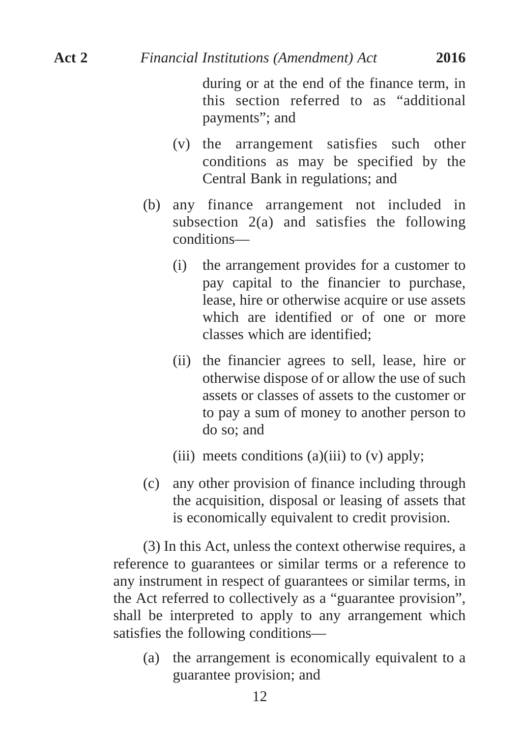during or at the end of the finance term, in this section referred to as "additional payments"; and

- (v) the arrangement satisfies such other conditions as may be specified by the Central Bank in regulations; and
- (b) any finance arrangement not included in subsection 2(a) and satisfies the following conditions—
	- (i) the arrangement provides for a customer to pay capital to the financier to purchase, lease, hire or otherwise acquire or use assets which are identified or of one or more classes which are identified;
	- (ii) the financier agrees to sell, lease, hire or otherwise dispose of or allow the use of such assets or classes of assets to the customer or to pay a sum of money to another person to do so; and
	- (iii) meets conditions (a)(iii) to  $(v)$  apply;
- (c) any other provision of finance including through the acquisition, disposal or leasing of assets that is economically equivalent to credit provision.

(3) In this Act, unless the context otherwise requires, a reference to guarantees or similar terms or a reference to any instrument in respect of guarantees or similar terms, in the Act referred to collectively as a "guarantee provision", shall be interpreted to apply to any arrangement which satisfies the following conditions—

(a) the arrangement is economically equivalent to a guarantee provision; and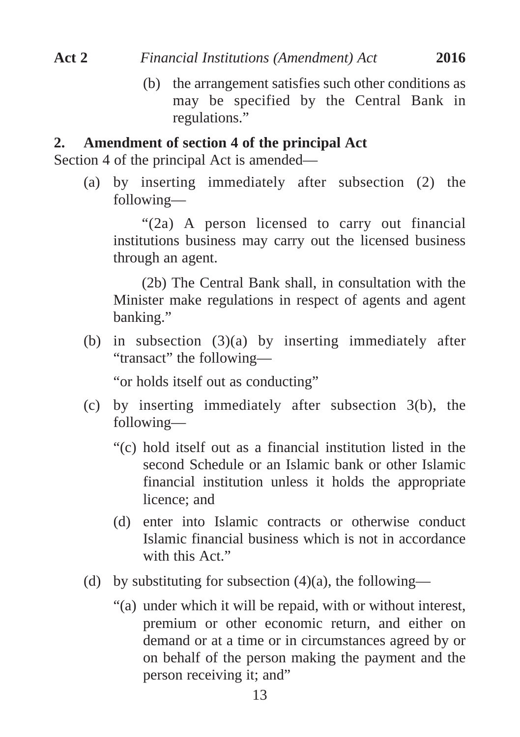(b) the arrangement satisfies such other conditions as may be specified by the Central Bank in regulations."

# **2. Amendment of section 4 of the principal Act**

Section 4 of the principal Act is amended—

(a) by inserting immediately after subsection (2) the following—

"(2a) A person licensed to carry out financial institutions business may carry out the licensed business through an agent.

(2b) The Central Bank shall, in consultation with the Minister make regulations in respect of agents and agent banking."

(b) in subsection  $(3)(a)$  by inserting immediately after "transact" the following—

"or holds itself out as conducting"

- (c) by inserting immediately after subsection 3(b), the following—
	- "(c) hold itself out as a financial institution listed in the second Schedule or an Islamic bank or other Islamic financial institution unless it holds the appropriate licence; and
	- (d) enter into Islamic contracts or otherwise conduct Islamic financial business which is not in accordance with this Act."
- (d) by substituting for subsection  $(4)(a)$ , the following—
	- "(a) under which it will be repaid, with or without interest, premium or other economic return, and either on demand or at a time or in circumstances agreed by or on behalf of the person making the payment and the person receiving it; and"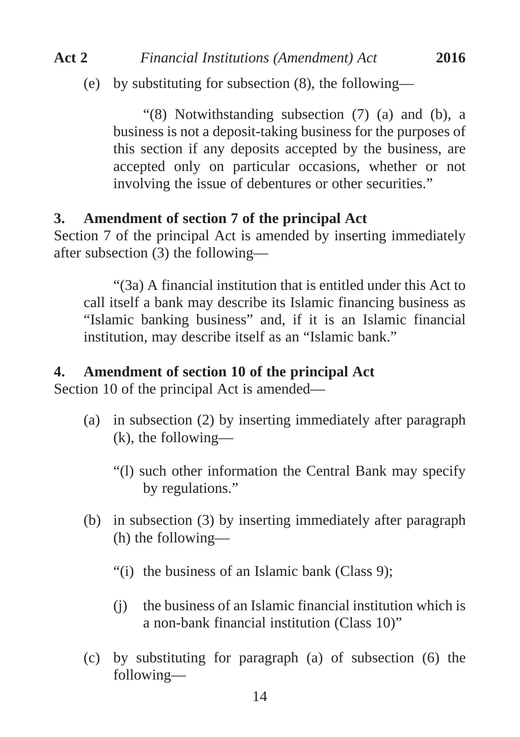(e) by substituting for subsection (8), the following—

"(8) Notwithstanding subsection (7) (a) and (b), a business is not a deposit-taking business for the purposes of this section if any deposits accepted by the business, are accepted only on particular occasions, whether or not involving the issue of debentures or other securities."

#### **3. Amendment of section 7 of the principal Act**

Section 7 of the principal Act is amended by inserting immediately after subsection (3) the following—

"(3a) A financial institution that is entitled under this Act to call itself a bank may describe its Islamic financing business as "Islamic banking business" and, if it is an Islamic financial institution, may describe itself as an "Islamic bank."

#### **4. Amendment of section 10 of the principal Act**

Section 10 of the principal Act is amended—

- (a) in subsection (2) by inserting immediately after paragraph (k), the following—
	- "(l) such other information the Central Bank may specify by regulations."
- (b) in subsection (3) by inserting immediately after paragraph (h) the following—
	- "(i) the business of an Islamic bank (Class 9);
	- (j) the business of an Islamic financial institution which is a non-bank financial institution (Class 10)"
- (c) by substituting for paragraph (a) of subsection (6) the following—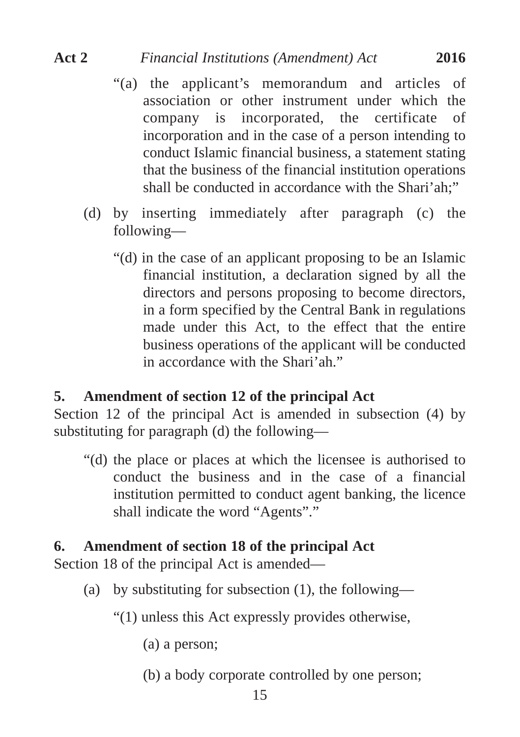- "(a) the applicant's memorandum and articles of association or other instrument under which the company is incorporated, the certificate of incorporation and in the case of a person intending to conduct Islamic financial business, a statement stating that the business of the financial institution operations shall be conducted in accordance with the Shari'ah:"
- (d) by inserting immediately after paragraph (c) the following—
	- "(d) in the case of an applicant proposing to be an Islamic financial institution, a declaration signed by all the directors and persons proposing to become directors, in a form specified by the Central Bank in regulations made under this Act, to the effect that the entire business operations of the applicant will be conducted in accordance with the Shari'ah."

# **5. Amendment of section 12 of the principal Act**

Section 12 of the principal Act is amended in subsection (4) by substituting for paragraph (d) the following—

"(d) the place or places at which the licensee is authorised to conduct the business and in the case of a financial institution permitted to conduct agent banking, the licence shall indicate the word "Agents"."

# **6. Amendment of section 18 of the principal Act**

Section 18 of the principal Act is amended—

- (a) by substituting for subsection (1), the following—
	- "(1) unless this Act expressly provides otherwise,
		- (a) a person;
		- (b) a body corporate controlled by one person;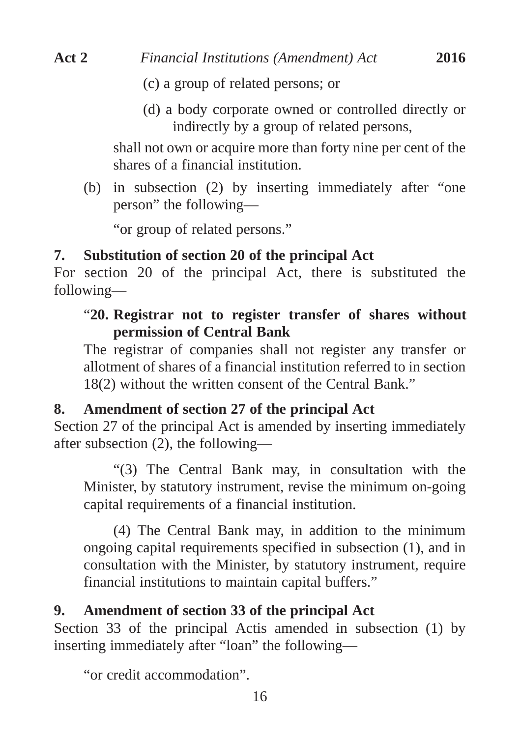- (c) a group of related persons; or
- (d) a body corporate owned or controlled directly or indirectly by a group of related persons,

shall not own or acquire more than forty nine per cent of the shares of a financial institution.

(b) in subsection (2) by inserting immediately after "one person" the following—

"or group of related persons."

# **7. Substitution of section 20 of the principal Act**

For section 20 of the principal Act, there is substituted the following—

# "**20. Registrar not to register transfer of shares without permission of Central Bank**

The registrar of companies shall not register any transfer or allotment of shares of a financial institution referred to in section 18(2) without the written consent of the Central Bank."

# **8. Amendment of section 27 of the principal Act**

Section 27 of the principal Act is amended by inserting immediately after subsection (2), the following—

"(3) The Central Bank may, in consultation with the Minister, by statutory instrument, revise the minimum on-going capital requirements of a financial institution.

(4) The Central Bank may, in addition to the minimum ongoing capital requirements specified in subsection (1), and in consultation with the Minister, by statutory instrument, require financial institutions to maintain capital buffers."

# **9. Amendment of section 33 of the principal Act**

Section 33 of the principal Actis amended in subsection (1) by inserting immediately after "loan" the following—

"or credit accommodation".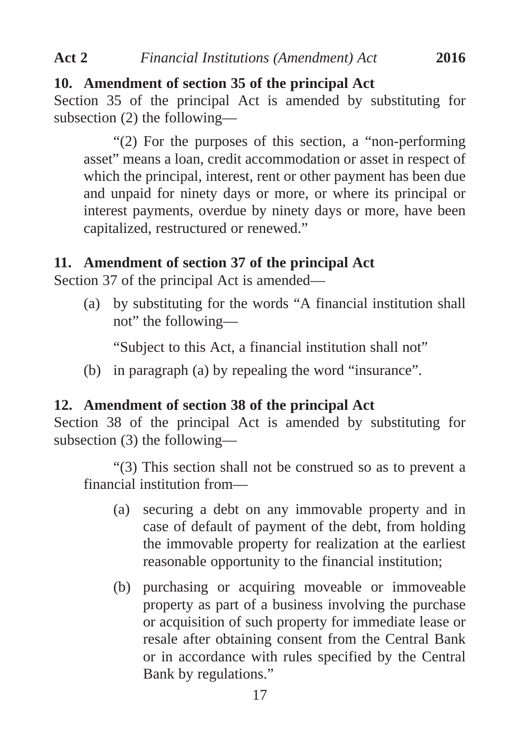#### **10. Amendment of section 35 of the principal Act**

Section 35 of the principal Act is amended by substituting for subsection (2) the following—

"(2) For the purposes of this section, a "non-performing asset" means a loan, credit accommodation or asset in respect of which the principal, interest, rent or other payment has been due and unpaid for ninety days or more, or where its principal or interest payments, overdue by ninety days or more, have been capitalized, restructured or renewed."

#### **11. Amendment of section 37 of the principal Act**

Section 37 of the principal Act is amended—

(a) by substituting for the words "A financial institution shall not" the following—

"Subject to this Act, a financial institution shall not"

(b) in paragraph (a) by repealing the word "insurance".

#### **12. Amendment of section 38 of the principal Act**

Section 38 of the principal Act is amended by substituting for subsection (3) the following—

"(3) This section shall not be construed so as to prevent a financial institution from—

- (a) securing a debt on any immovable property and in case of default of payment of the debt, from holding the immovable property for realization at the earliest reasonable opportunity to the financial institution;
- (b) purchasing or acquiring moveable or immoveable property as part of a business involving the purchase or acquisition of such property for immediate lease or resale after obtaining consent from the Central Bank or in accordance with rules specified by the Central Bank by regulations."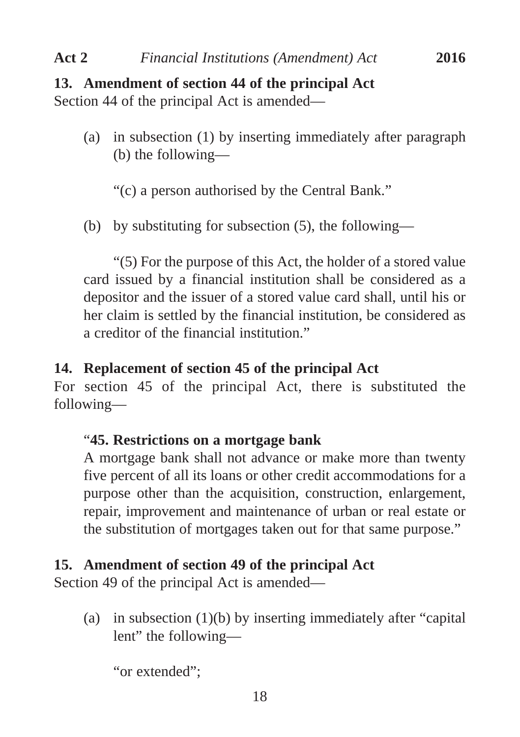# **13. Amendment of section 44 of the principal Act**

Section 44 of the principal Act is amended—

(a) in subsection (1) by inserting immediately after paragraph (b) the following—

"(c) a person authorised by the Central Bank."

(b) by substituting for subsection (5), the following—

"(5) For the purpose of this Act, the holder of a stored value card issued by a financial institution shall be considered as a depositor and the issuer of a stored value card shall, until his or her claim is settled by the financial institution, be considered as a creditor of the financial institution."

# **14. Replacement of section 45 of the principal Act**

For section 45 of the principal Act, there is substituted the following—

# "**45. Restrictions on a mortgage bank**

A mortgage bank shall not advance or make more than twenty five percent of all its loans or other credit accommodations for a purpose other than the acquisition, construction, enlargement, repair, improvement and maintenance of urban or real estate or the substitution of mortgages taken out for that same purpose."

# **15. Amendment of section 49 of the principal Act**

Section 49 of the principal Act is amended—

(a) in subsection (1)(b) by inserting immediately after "capital lent" the following—

"or extended";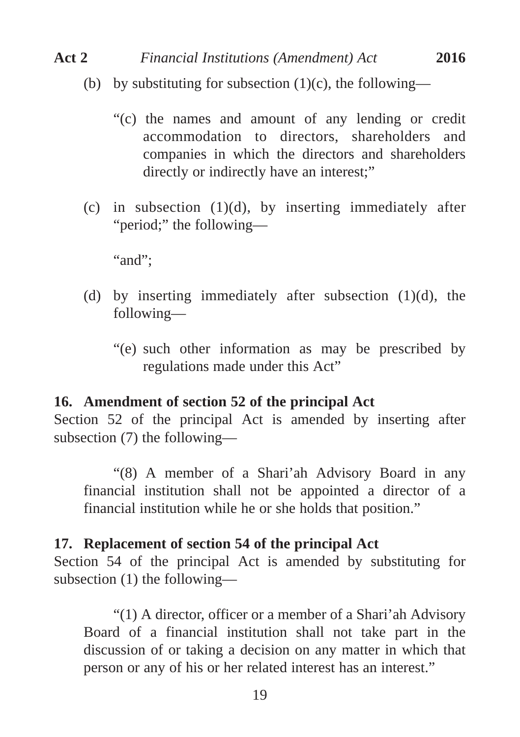- (b) by substituting for subsection  $(1)(c)$ , the following—
	- "(c) the names and amount of any lending or credit accommodation to directors, shareholders and companies in which the directors and shareholders directly or indirectly have an interest;"
- (c) in subsection  $(1)(d)$ , by inserting immediately after "period;" the following—

"and":

- (d) by inserting immediately after subsection  $(1)(d)$ , the following—
	- "(e) such other information as may be prescribed by regulations made under this Act"

#### **16. Amendment of section 52 of the principal Act**

Section 52 of the principal Act is amended by inserting after subsection (7) the following—

"(8) A member of a Shari'ah Advisory Board in any financial institution shall not be appointed a director of a financial institution while he or she holds that position."

#### **17. Replacement of section 54 of the principal Act**

Section 54 of the principal Act is amended by substituting for subsection (1) the following—

"(1) A director, officer or a member of a Shari'ah Advisory Board of a financial institution shall not take part in the discussion of or taking a decision on any matter in which that person or any of his or her related interest has an interest."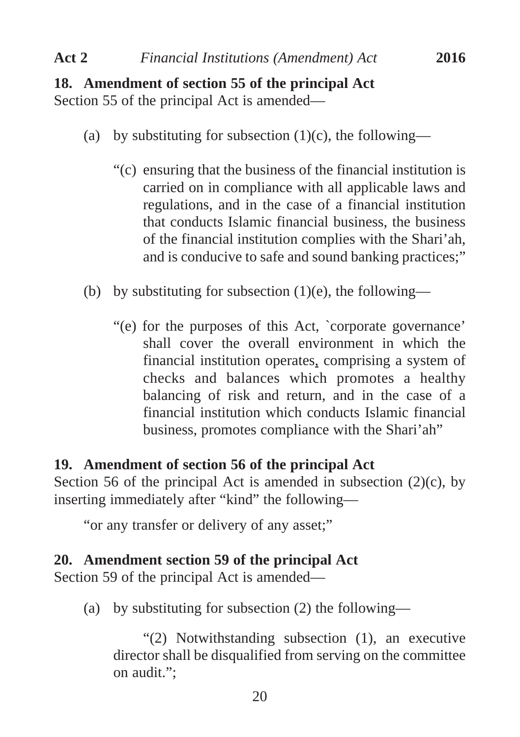# **18. Amendment of section 55 of the principal Act** Section 55 of the principal Act is amended—

- (a) by substituting for subsection  $(1)(c)$ , the following—
	- "(c) ensuring that the business of the financial institution is carried on in compliance with all applicable laws and regulations, and in the case of a financial institution that conducts Islamic financial business, the business of the financial institution complies with the Shari'ah, and is conducive to safe and sound banking practices;"
- (b) by substituting for subsection  $(1)(e)$ , the following—
	- "(e) for the purposes of this Act, `corporate governance' shall cover the overall environment in which the financial institution operates, comprising a system of checks and balances which promotes a healthy balancing of risk and return, and in the case of a financial institution which conducts Islamic financial business, promotes compliance with the Shari'ah"

# **19. Amendment of section 56 of the principal Act**

Section 56 of the principal Act is amended in subsection  $(2)(c)$ , by inserting immediately after "kind" the following—

"or any transfer or delivery of any asset;"

## **20. Amendment section 59 of the principal Act**

Section 59 of the principal Act is amended—

(a) by substituting for subsection (2) the following—

"(2) Notwithstanding subsection (1), an executive director shall be disqualified from serving on the committee on audit.";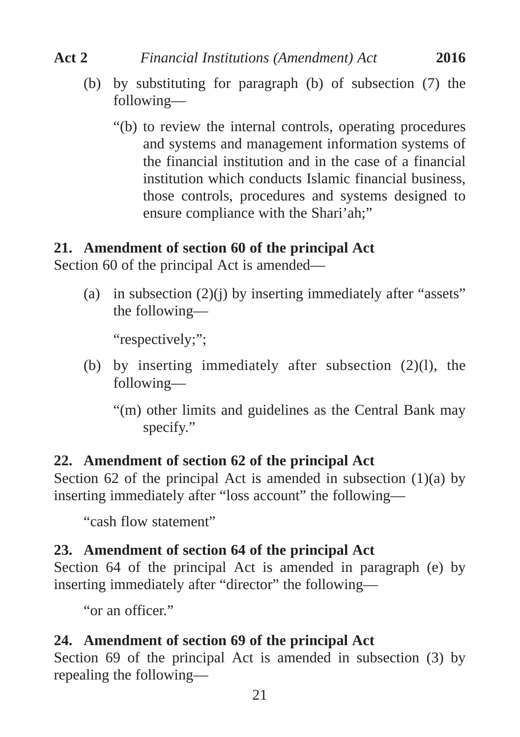- (b) by substituting for paragraph (b) of subsection (7) the following—
	- "(b) to review the internal controls, operating procedures and systems and management information systems of the financial institution and in the case of a financial institution which conducts Islamic financial business, those controls, procedures and systems designed to ensure compliance with the Shari'ah;"

# **21. Amendment of section 60 of the principal Act**

Section 60 of the principal Act is amended—

(a) in subsection  $(2)(j)$  by inserting immediately after "assets" the following—

"respectively;":

- (b) by inserting immediately after subsection (2)(l), the following—
	- "(m) other limits and guidelines as the Central Bank may specify."

# **22. Amendment of section 62 of the principal Act**

Section 62 of the principal Act is amended in subsection  $(1)(a)$  by inserting immediately after "loss account" the following—

"cash flow statement"

# **23. Amendment of section 64 of the principal Act**

Section 64 of the principal Act is amended in paragraph (e) by inserting immediately after "director" the following—

"or an officer."

# **24. Amendment of section 69 of the principal Act**

Section 69 of the principal Act is amended in subsection (3) by repealing the following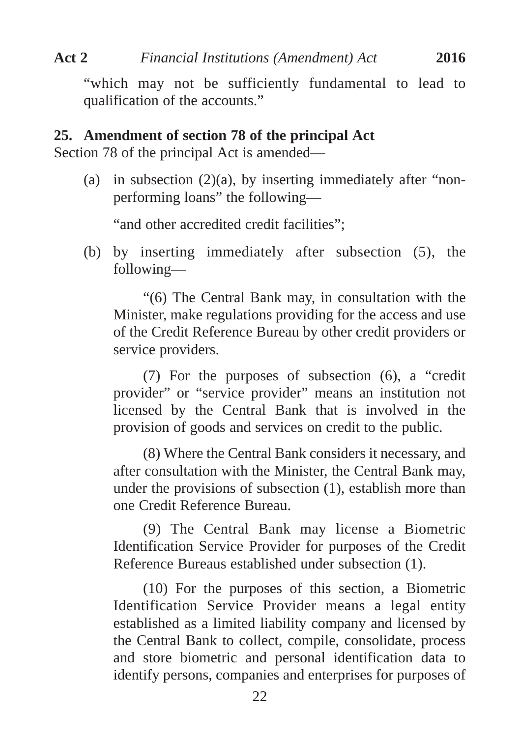"which may not be sufficiently fundamental to lead to qualification of the accounts."

# **25. Amendment of section 78 of the principal Act**

Section 78 of the principal Act is amended—

(a) in subsection  $(2)(a)$ , by inserting immediately after "nonperforming loans" the following—

"and other accredited credit facilities":

(b) by inserting immediately after subsection (5), the following—

"(6) The Central Bank may, in consultation with the Minister, make regulations providing for the access and use of the Credit Reference Bureau by other credit providers or service providers.

(7) For the purposes of subsection (6), a "credit provider" or "service provider" means an institution not licensed by the Central Bank that is involved in the provision of goods and services on credit to the public.

(8) Where the Central Bank considers it necessary, and after consultation with the Minister, the Central Bank may, under the provisions of subsection (1), establish more than one Credit Reference Bureau.

(9) The Central Bank may license a Biometric Identification Service Provider for purposes of the Credit Reference Bureaus established under subsection (1).

(10) For the purposes of this section, a Biometric Identification Service Provider means a legal entity established as a limited liability company and licensed by the Central Bank to collect, compile, consolidate, process and store biometric and personal identification data to identify persons, companies and enterprises for purposes of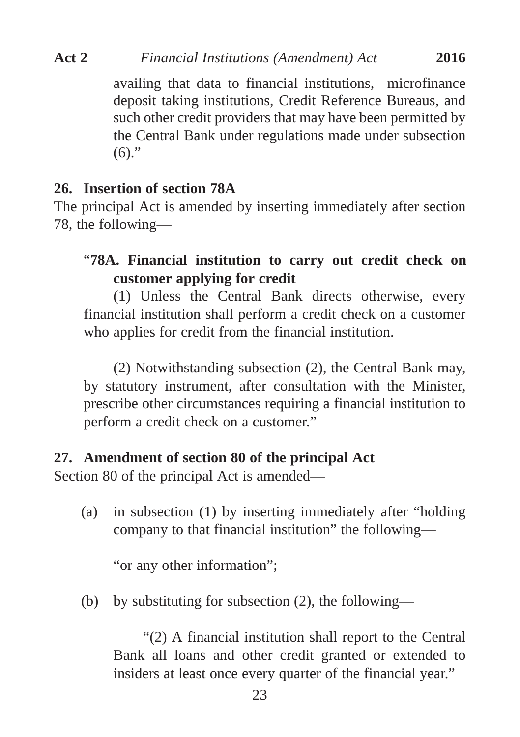availing that data to financial institutions, microfinance deposit taking institutions, Credit Reference Bureaus, and such other credit providers that may have been permitted by the Central Bank under regulations made under subsection  $(6)$ ."

#### **26. Insertion of section 78A**

The principal Act is amended by inserting immediately after section 78, the following—

# "**78A. Financial institution to carry out credit check on customer applying for credit**

(1) Unless the Central Bank directs otherwise, every financial institution shall perform a credit check on a customer who applies for credit from the financial institution.

(2) Notwithstanding subsection (2), the Central Bank may, by statutory instrument, after consultation with the Minister, prescribe other circumstances requiring a financial institution to perform a credit check on a customer."

#### **27. Amendment of section 80 of the principal Act**

Section 80 of the principal Act is amended—

(a) in subsection (1) by inserting immediately after "holding company to that financial institution" the following—

"or any other information":

(b) by substituting for subsection (2), the following—

"(2) A financial institution shall report to the Central Bank all loans and other credit granted or extended to insiders at least once every quarter of the financial year."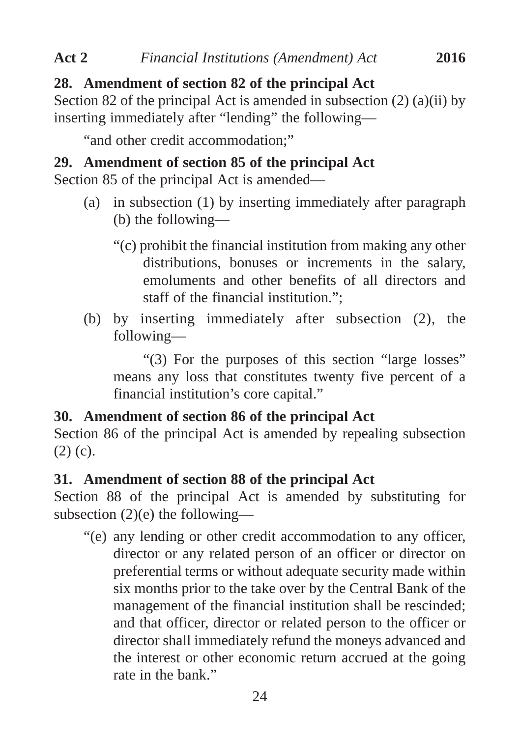# **28. Amendment of section 82 of the principal Act**

Section 82 of the principal Act is amended in subsection  $(2)$   $(a)(ii)$  by inserting immediately after "lending" the following—

"and other credit accommodation;"

# **29. Amendment of section 85 of the principal Act**

Section 85 of the principal Act is amended—

- (a) in subsection (1) by inserting immediately after paragraph (b) the following—
	- "(c) prohibit the financial institution from making any other distributions, bonuses or increments in the salary, emoluments and other benefits of all directors and staff of the financial institution.";
- (b) by inserting immediately after subsection (2), the following—

"(3) For the purposes of this section "large losses" means any loss that constitutes twenty five percent of a financial institution's core capital."

# **30. Amendment of section 86 of the principal Act**

Section 86 of the principal Act is amended by repealing subsection (2) (c).

# **31. Amendment of section 88 of the principal Act**

Section 88 of the principal Act is amended by substituting for subsection (2)(e) the following—

"(e) any lending or other credit accommodation to any officer, director or any related person of an officer or director on preferential terms or without adequate security made within six months prior to the take over by the Central Bank of the management of the financial institution shall be rescinded; and that officer, director or related person to the officer or director shall immediately refund the moneys advanced and the interest or other economic return accrued at the going rate in the bank."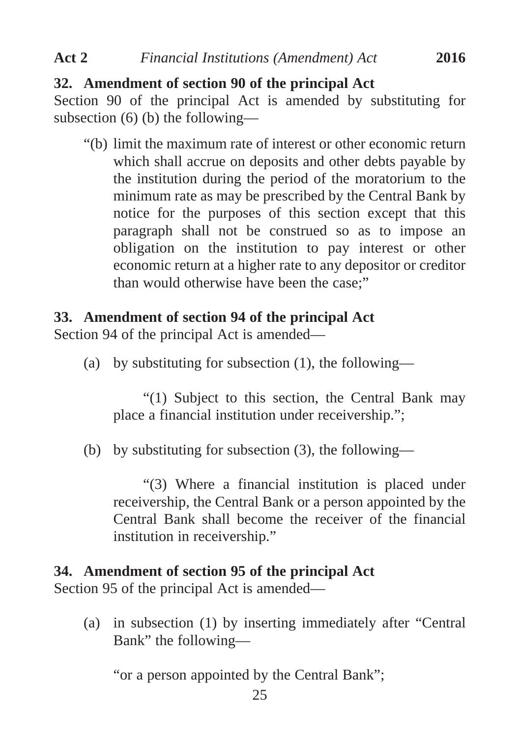# **32. Amendment of section 90 of the principal Act**

Section 90 of the principal Act is amended by substituting for subsection (6) (b) the following—

"(b) limit the maximum rate of interest or other economic return which shall accrue on deposits and other debts payable by the institution during the period of the moratorium to the minimum rate as may be prescribed by the Central Bank by notice for the purposes of this section except that this paragraph shall not be construed so as to impose an obligation on the institution to pay interest or other economic return at a higher rate to any depositor or creditor than would otherwise have been the case;"

# **33. Amendment of section 94 of the principal Act**

Section 94 of the principal Act is amended—

(a) by substituting for subsection (1), the following—

"(1) Subject to this section, the Central Bank may place a financial institution under receivership.";

(b) by substituting for subsection (3), the following—

"(3) Where a financial institution is placed under receivership, the Central Bank or a person appointed by the Central Bank shall become the receiver of the financial institution in receivership."

# **34. Amendment of section 95 of the principal Act**

Section 95 of the principal Act is amended—

(a) in subsection (1) by inserting immediately after "Central Bank" the following—

"or a person appointed by the Central Bank";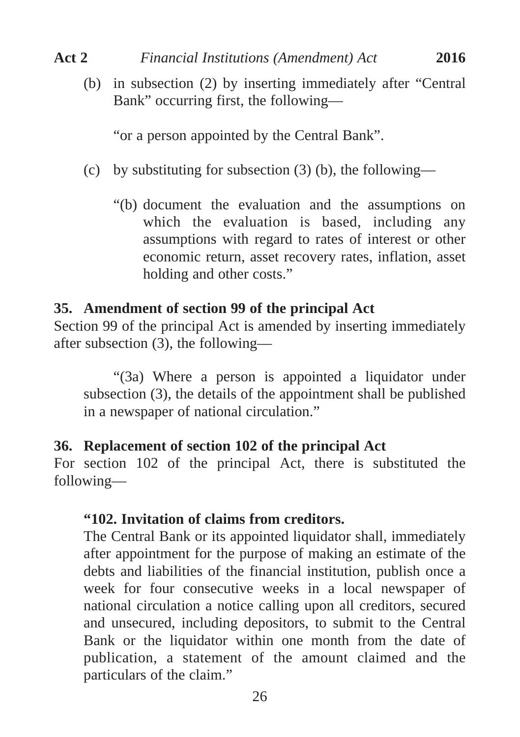(b) in subsection (2) by inserting immediately after "Central Bank" occurring first, the following—

"or a person appointed by the Central Bank".

- (c) by substituting for subsection  $(3)$  (b), the following—
	- "(b) document the evaluation and the assumptions on which the evaluation is based, including any assumptions with regard to rates of interest or other economic return, asset recovery rates, inflation, asset holding and other costs."

## **35. Amendment of section 99 of the principal Act**

Section 99 of the principal Act is amended by inserting immediately after subsection (3), the following—

"(3a) Where a person is appointed a liquidator under subsection (3), the details of the appointment shall be published in a newspaper of national circulation."

# **36. Replacement of section 102 of the principal Act**

For section 102 of the principal Act, there is substituted the following—

## **"102. Invitation of claims from creditors.**

The Central Bank or its appointed liquidator shall, immediately after appointment for the purpose of making an estimate of the debts and liabilities of the financial institution, publish once a week for four consecutive weeks in a local newspaper of national circulation a notice calling upon all creditors, secured and unsecured, including depositors, to submit to the Central Bank or the liquidator within one month from the date of publication, a statement of the amount claimed and the particulars of the claim."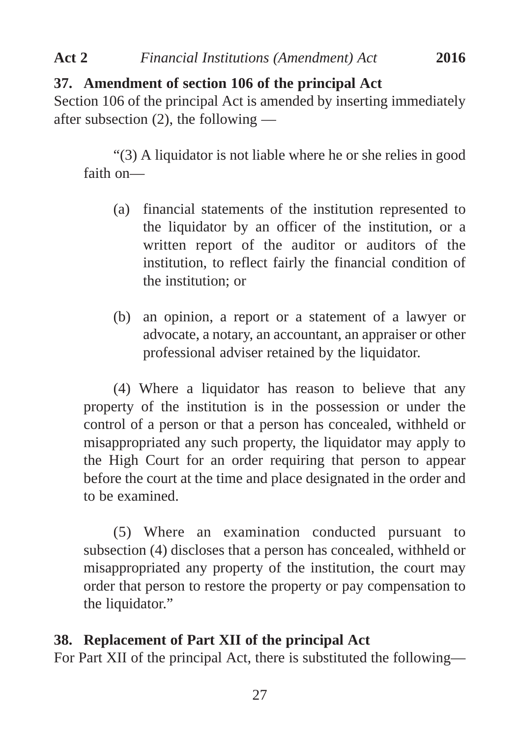# **37. Amendment of section 106 of the principal Act**

Section 106 of the principal Act is amended by inserting immediately after subsection (2), the following —

"(3) A liquidator is not liable where he or she relies in good faith on—

- (a) financial statements of the institution represented to the liquidator by an officer of the institution, or a written report of the auditor or auditors of the institution, to reflect fairly the financial condition of the institution; or
- (b) an opinion, a report or a statement of a lawyer or advocate, a notary, an accountant, an appraiser or other professional adviser retained by the liquidator.

(4) Where a liquidator has reason to believe that any property of the institution is in the possession or under the control of a person or that a person has concealed, withheld or misappropriated any such property, the liquidator may apply to the High Court for an order requiring that person to appear before the court at the time and place designated in the order and to be examined.

(5) Where an examination conducted pursuant to subsection (4) discloses that a person has concealed, withheld or misappropriated any property of the institution, the court may order that person to restore the property or pay compensation to the liquidator."

# **38. Replacement of Part XII of the principal Act**

For Part XII of the principal Act, there is substituted the following—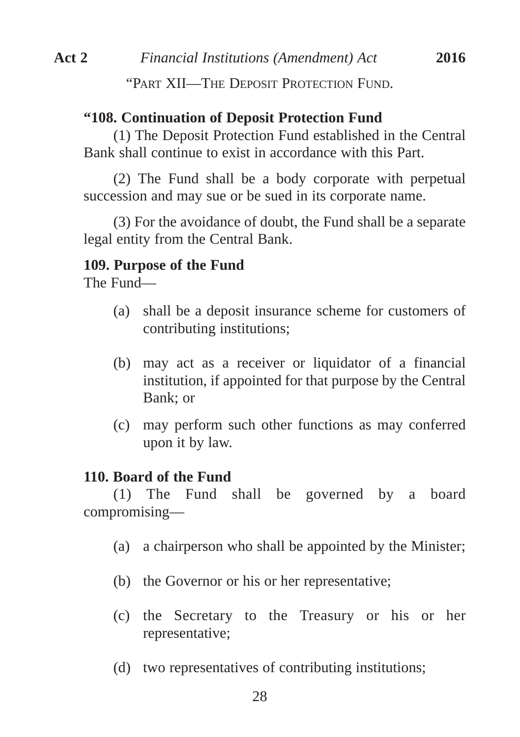# **"108. Continuation of Deposit Protection Fund**

(1) The Deposit Protection Fund established in the Central Bank shall continue to exist in accordance with this Part.

(2) The Fund shall be a body corporate with perpetual succession and may sue or be sued in its corporate name.

(3) For the avoidance of doubt, the Fund shall be a separate legal entity from the Central Bank.

# **109. Purpose of the Fund**

The Fund—

- (a) shall be a deposit insurance scheme for customers of contributing institutions;
- (b) may act as a receiver or liquidator of a financial institution, if appointed for that purpose by the Central Bank; or
- (c) may perform such other functions as may conferred upon it by law.

# **110. Board of the Fund**

(1) The Fund shall be governed by a board compromising—

- (a) a chairperson who shall be appointed by the Minister;
- (b) the Governor or his or her representative;
- (c) the Secretary to the Treasury or his or her representative;
- (d) two representatives of contributing institutions;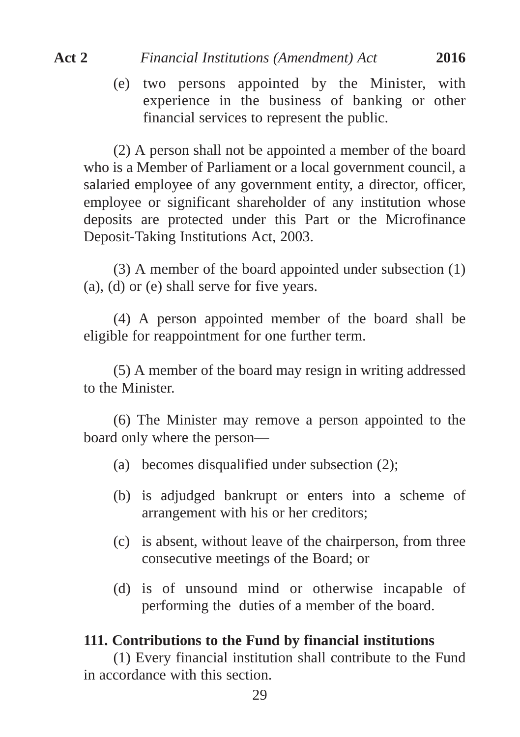(e) two persons appointed by the Minister, with experience in the business of banking or other financial services to represent the public.

(2) A person shall not be appointed a member of the board who is a Member of Parliament or a local government council, a salaried employee of any government entity, a director, officer, employee or significant shareholder of any institution whose deposits are protected under this Part or the Microfinance Deposit-Taking Institutions Act, 2003.

(3) A member of the board appointed under subsection (1) (a), (d) or (e) shall serve for five years.

(4) A person appointed member of the board shall be eligible for reappointment for one further term.

(5) A member of the board may resign in writing addressed to the Minister.

(6) The Minister may remove a person appointed to the board only where the person—

- (a) becomes disqualified under subsection (2);
- (b) is adjudged bankrupt or enters into a scheme of arrangement with his or her creditors;
- (c) is absent, without leave of the chairperson, from three consecutive meetings of the Board; or
- (d) is of unsound mind or otherwise incapable of performing the duties of a member of the board.

#### **111. Contributions to the Fund by financial institutions**

(1) Every financial institution shall contribute to the Fund in accordance with this section.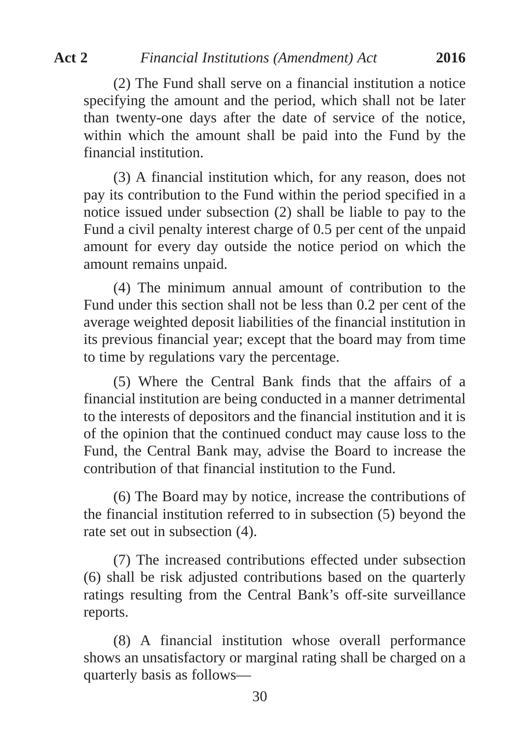(2) The Fund shall serve on a financial institution a notice specifying the amount and the period, which shall not be later than twenty-one days after the date of service of the notice, within which the amount shall be paid into the Fund by the financial institution.

(3) A financial institution which, for any reason, does not pay its contribution to the Fund within the period specified in a notice issued under subsection (2) shall be liable to pay to the Fund a civil penalty interest charge of 0.5 per cent of the unpaid amount for every day outside the notice period on which the amount remains unpaid.

(4) The minimum annual amount of contribution to the Fund under this section shall not be less than 0.2 per cent of the average weighted deposit liabilities of the financial institution in its previous financial year; except that the board may from time to time by regulations vary the percentage.

(5) Where the Central Bank finds that the affairs of a financial institution are being conducted in a manner detrimental to the interests of depositors and the financial institution and it is of the opinion that the continued conduct may cause loss to the Fund, the Central Bank may, advise the Board to increase the contribution of that financial institution to the Fund.

(6) The Board may by notice, increase the contributions of the financial institution referred to in subsection (5) beyond the rate set out in subsection (4).

(7) The increased contributions effected under subsection (6) shall be risk adjusted contributions based on the quarterly ratings resulting from the Central Bank's off-site surveillance reports.

(8) A financial institution whose overall performance shows an unsatisfactory or marginal rating shall be charged on a quarterly basis as follows—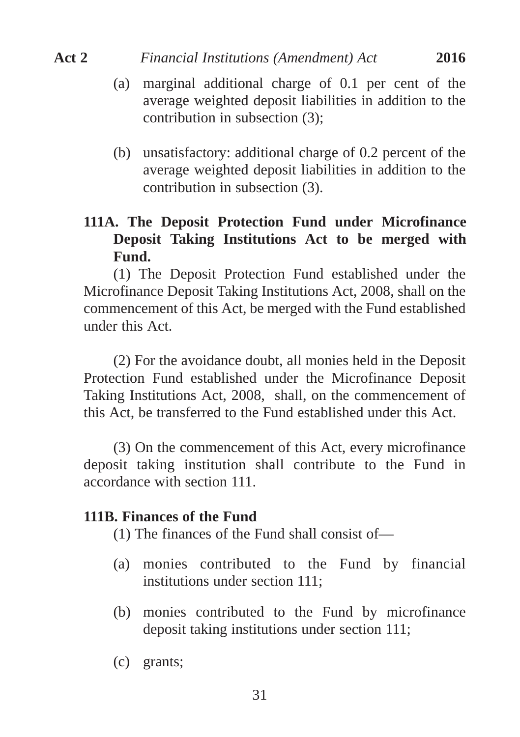- (a) marginal additional charge of 0.1 per cent of the average weighted deposit liabilities in addition to the contribution in subsection (3);
- (b) unsatisfactory: additional charge of 0.2 percent of the average weighted deposit liabilities in addition to the contribution in subsection (3).

# **111A. The Deposit Protection Fund under Microfinance Deposit Taking Institutions Act to be merged with Fund.**

(1) The Deposit Protection Fund established under the Microfinance Deposit Taking Institutions Act, 2008, shall on the commencement of this Act, be merged with the Fund established under this Act.

(2) For the avoidance doubt, all monies held in the Deposit Protection Fund established under the Microfinance Deposit Taking Institutions Act, 2008, shall, on the commencement of this Act, be transferred to the Fund established under this Act.

(3) On the commencement of this Act, every microfinance deposit taking institution shall contribute to the Fund in accordance with section 111.

#### **111B. Finances of the Fund**

(1) The finances of the Fund shall consist of—

- (a) monies contributed to the Fund by financial institutions under section 111;
- (b) monies contributed to the Fund by microfinance deposit taking institutions under section 111;
- (c) grants;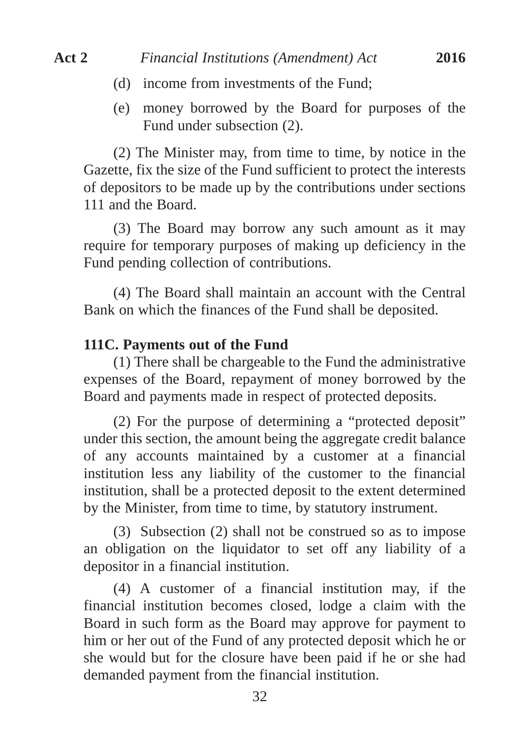- (d) income from investments of the Fund;
- (e) money borrowed by the Board for purposes of the Fund under subsection (2).

(2) The Minister may, from time to time, by notice in the Gazette, fix the size of the Fund sufficient to protect the interests of depositors to be made up by the contributions under sections 111 and the Board.

(3) The Board may borrow any such amount as it may require for temporary purposes of making up deficiency in the Fund pending collection of contributions.

(4) The Board shall maintain an account with the Central Bank on which the finances of the Fund shall be deposited.

#### **111C. Payments out of the Fund**

(1) There shall be chargeable to the Fund the administrative expenses of the Board, repayment of money borrowed by the Board and payments made in respect of protected deposits.

(2) For the purpose of determining a "protected deposit" under this section, the amount being the aggregate credit balance of any accounts maintained by a customer at a financial institution less any liability of the customer to the financial institution, shall be a protected deposit to the extent determined by the Minister, from time to time, by statutory instrument.

(3) Subsection (2) shall not be construed so as to impose an obligation on the liquidator to set off any liability of a depositor in a financial institution.

(4) A customer of a financial institution may, if the financial institution becomes closed, lodge a claim with the Board in such form as the Board may approve for payment to him or her out of the Fund of any protected deposit which he or she would but for the closure have been paid if he or she had demanded payment from the financial institution.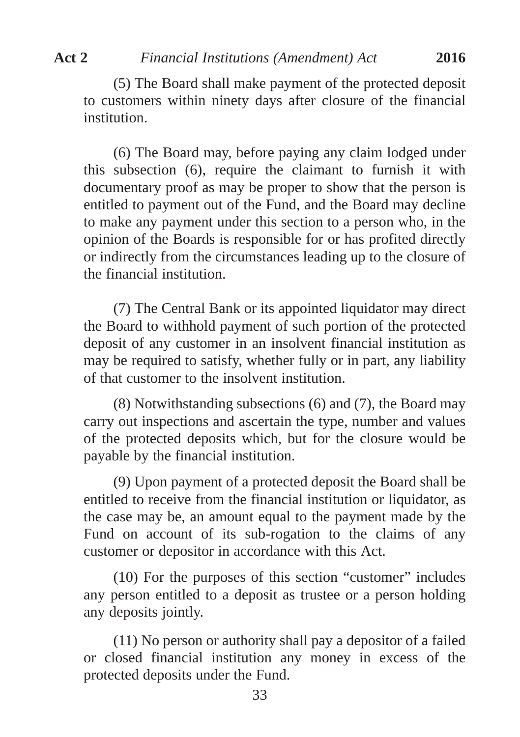(5) The Board shall make payment of the protected deposit to customers within ninety days after closure of the financial institution.

(6) The Board may, before paying any claim lodged under this subsection (6), require the claimant to furnish it with documentary proof as may be proper to show that the person is entitled to payment out of the Fund, and the Board may decline to make any payment under this section to a person who, in the opinion of the Boards is responsible for or has profited directly or indirectly from the circumstances leading up to the closure of the financial institution.

(7) The Central Bank or its appointed liquidator may direct the Board to withhold payment of such portion of the protected deposit of any customer in an insolvent financial institution as may be required to satisfy, whether fully or in part, any liability of that customer to the insolvent institution.

(8) Notwithstanding subsections (6) and (7), the Board may carry out inspections and ascertain the type, number and values of the protected deposits which, but for the closure would be payable by the financial institution.

(9) Upon payment of a protected deposit the Board shall be entitled to receive from the financial institution or liquidator, as the case may be, an amount equal to the payment made by the Fund on account of its sub-rogation to the claims of any customer or depositor in accordance with this Act.

(10) For the purposes of this section "customer" includes any person entitled to a deposit as trustee or a person holding any deposits jointly.

(11) No person or authority shall pay a depositor of a failed or closed financial institution any money in excess of the protected deposits under the Fund.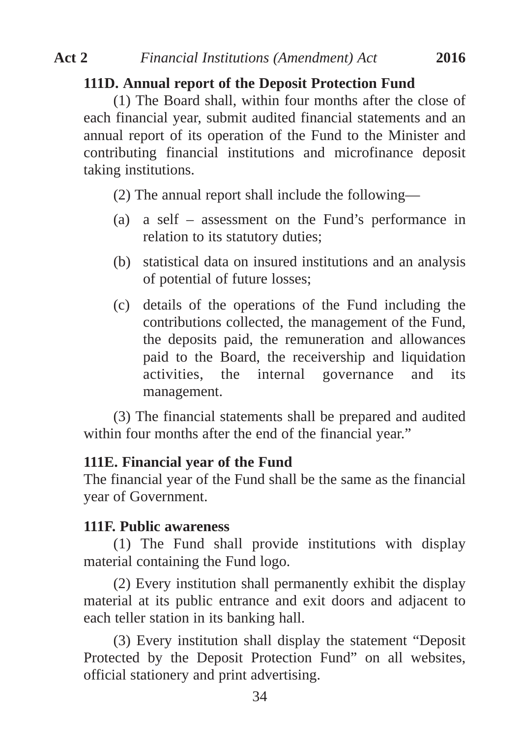# **111D. Annual report of the Deposit Protection Fund**

(1) The Board shall, within four months after the close of each financial year, submit audited financial statements and an annual report of its operation of the Fund to the Minister and contributing financial institutions and microfinance deposit taking institutions.

(2) The annual report shall include the following—

- (a) a self assessment on the Fund's performance in relation to its statutory duties;
- (b) statistical data on insured institutions and an analysis of potential of future losses;
- (c) details of the operations of the Fund including the contributions collected, the management of the Fund, the deposits paid, the remuneration and allowances paid to the Board, the receivership and liquidation activities, the internal governance and its management.

(3) The financial statements shall be prepared and audited within four months after the end of the financial year."

# **111E. Financial year of the Fund**

The financial year of the Fund shall be the same as the financial year of Government.

## **111F. Public awareness**

(1) The Fund shall provide institutions with display material containing the Fund logo.

(2) Every institution shall permanently exhibit the display material at its public entrance and exit doors and adjacent to each teller station in its banking hall.

(3) Every institution shall display the statement "Deposit Protected by the Deposit Protection Fund" on all websites, official stationery and print advertising.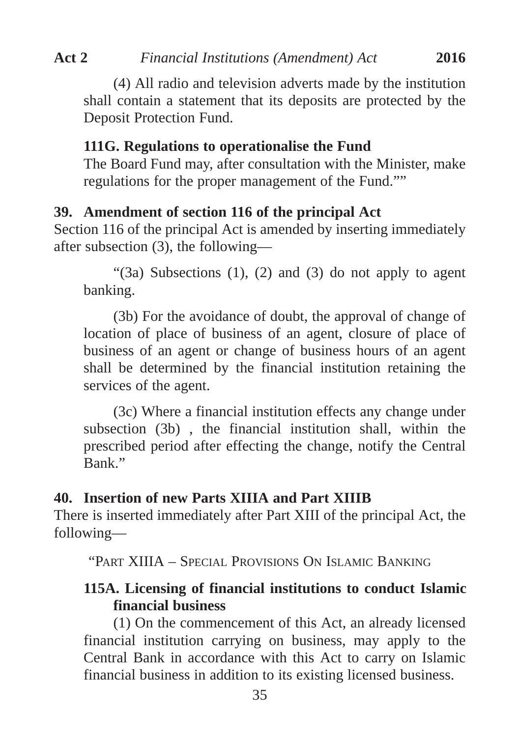(4) All radio and television adverts made by the institution shall contain a statement that its deposits are protected by the Deposit Protection Fund.

#### **111G. Regulations to operationalise the Fund**

The Board Fund may, after consultation with the Minister, make regulations for the proper management of the Fund.""

## **39. Amendment of section 116 of the principal Act**

Section 116 of the principal Act is amended by inserting immediately after subsection (3), the following—

" $(3a)$  Subsections  $(1)$ ,  $(2)$  and  $(3)$  do not apply to agent banking.

(3b) For the avoidance of doubt, the approval of change of location of place of business of an agent, closure of place of business of an agent or change of business hours of an agent shall be determined by the financial institution retaining the services of the agent.

(3c) Where a financial institution effects any change under subsection (3b) , the financial institution shall, within the prescribed period after effecting the change, notify the Central Bank."

## **40. Insertion of new Parts XIIIA and Part XIIIB**

There is inserted immediately after Part XIII of the principal Act, the following—

"PART XIIIA – SPECIAL PROVISIONS ON ISLAMIC BANKING

# **115A. Licensing of financial institutions to conduct Islamic financial business**

(1) On the commencement of this Act, an already licensed financial institution carrying on business, may apply to the Central Bank in accordance with this Act to carry on Islamic financial business in addition to its existing licensed business.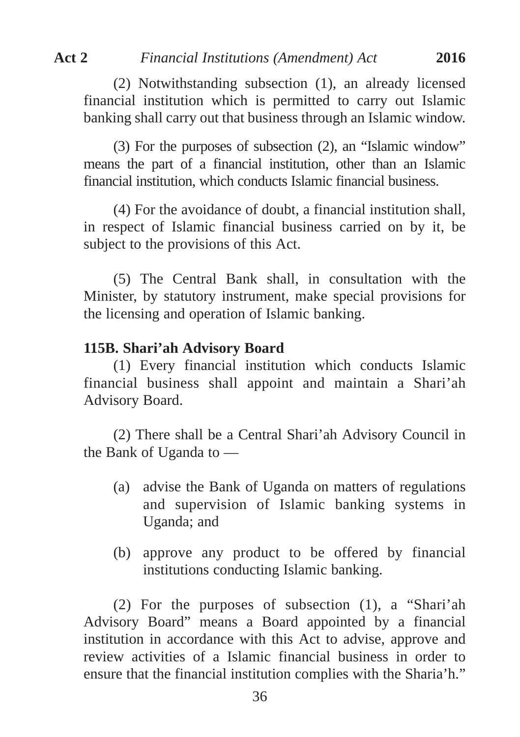(2) Notwithstanding subsection (1), an already licensed financial institution which is permitted to carry out Islamic banking shall carry out that business through an Islamic window.

(3) For the purposes of subsection (2), an "Islamic window" means the part of a financial institution, other than an Islamic financial institution, which conducts Islamic financial business.

(4) For the avoidance of doubt, a financial institution shall, in respect of Islamic financial business carried on by it, be subject to the provisions of this Act.

(5) The Central Bank shall, in consultation with the Minister, by statutory instrument, make special provisions for the licensing and operation of Islamic banking.

#### **115B. Shari'ah Advisory Board**

(1) Every financial institution which conducts Islamic financial business shall appoint and maintain a Shari'ah Advisory Board.

(2) There shall be a Central Shari'ah Advisory Council in the Bank of Uganda to —

- (a) advise the Bank of Uganda on matters of regulations and supervision of Islamic banking systems in Uganda; and
- (b) approve any product to be offered by financial institutions conducting Islamic banking.

(2) For the purposes of subsection (1), a "Shari'ah Advisory Board" means a Board appointed by a financial institution in accordance with this Act to advise, approve and review activities of a Islamic financial business in order to ensure that the financial institution complies with the Sharia'h."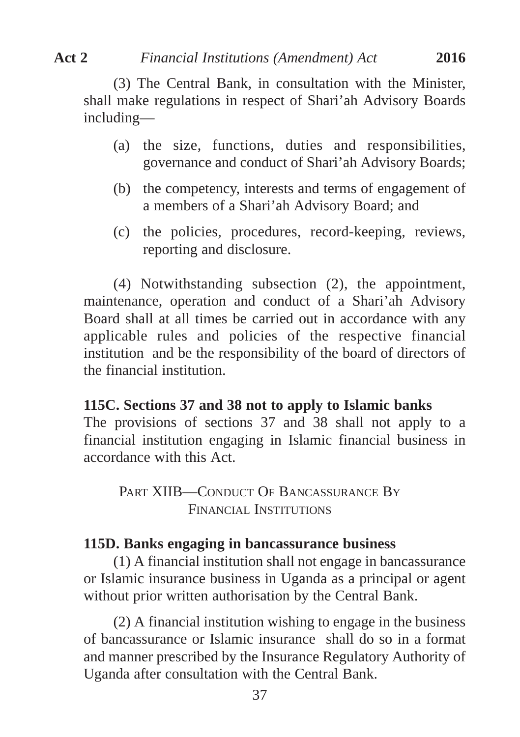(3) The Central Bank, in consultation with the Minister, shall make regulations in respect of Shari'ah Advisory Boards including—

- (a) the size, functions, duties and responsibilities, governance and conduct of Shari'ah Advisory Boards;
- (b) the competency, interests and terms of engagement of a members of a Shari'ah Advisory Board; and
- (c) the policies, procedures, record-keeping, reviews, reporting and disclosure.

(4) Notwithstanding subsection (2), the appointment, maintenance, operation and conduct of a Shari'ah Advisory Board shall at all times be carried out in accordance with any applicable rules and policies of the respective financial institution and be the responsibility of the board of directors of the financial institution.

## **115C. Sections 37 and 38 not to apply to Islamic banks**

The provisions of sections 37 and 38 shall not apply to a financial institution engaging in Islamic financial business in accordance with this Act.

PART XIIB—CONDUCT OF BANCASSURANCE BY FINANCIAL INSTITUTIONS

## **115D. Banks engaging in bancassurance business**

(1) A financial institution shall not engage in bancassurance or Islamic insurance business in Uganda as a principal or agent without prior written authorisation by the Central Bank.

(2) A financial institution wishing to engage in the business of bancassurance or Islamic insurance shall do so in a format and manner prescribed by the Insurance Regulatory Authority of Uganda after consultation with the Central Bank.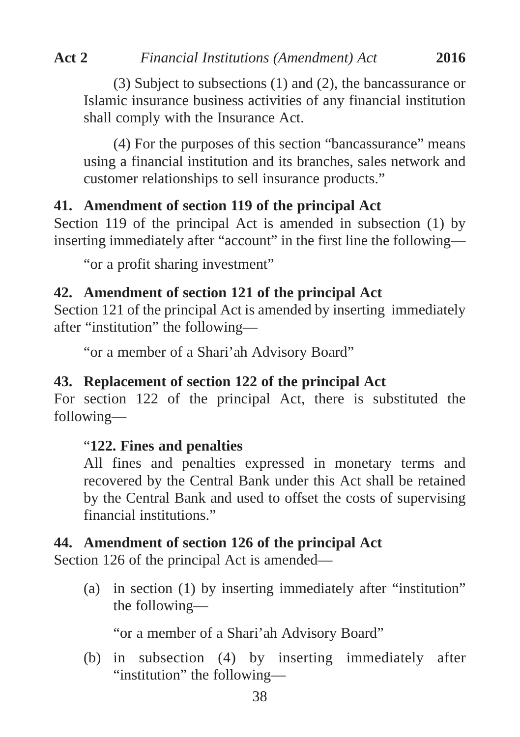(3) Subject to subsections (1) and (2), the bancassurance or Islamic insurance business activities of any financial institution shall comply with the Insurance Act.

(4) For the purposes of this section "bancassurance" means using a financial institution and its branches, sales network and customer relationships to sell insurance products."

# **41. Amendment of section 119 of the principal Act**

Section 119 of the principal Act is amended in subsection (1) by inserting immediately after "account" in the first line the following—

"or a profit sharing investment"

# **42. Amendment of section 121 of the principal Act**

Section 121 of the principal Act is amended by inserting immediately after "institution" the following—

"or a member of a Shari'ah Advisory Board"

# **43. Replacement of section 122 of the principal Act**

For section 122 of the principal Act, there is substituted the following—

# "**122. Fines and penalties**

All fines and penalties expressed in monetary terms and recovered by the Central Bank under this Act shall be retained by the Central Bank and used to offset the costs of supervising financial institutions."

# **44. Amendment of section 126 of the principal Act**

Section 126 of the principal Act is amended—

(a) in section (1) by inserting immediately after "institution" the following—

"or a member of a Shari'ah Advisory Board"

(b) in subsection (4) by inserting immediately after "institution" the following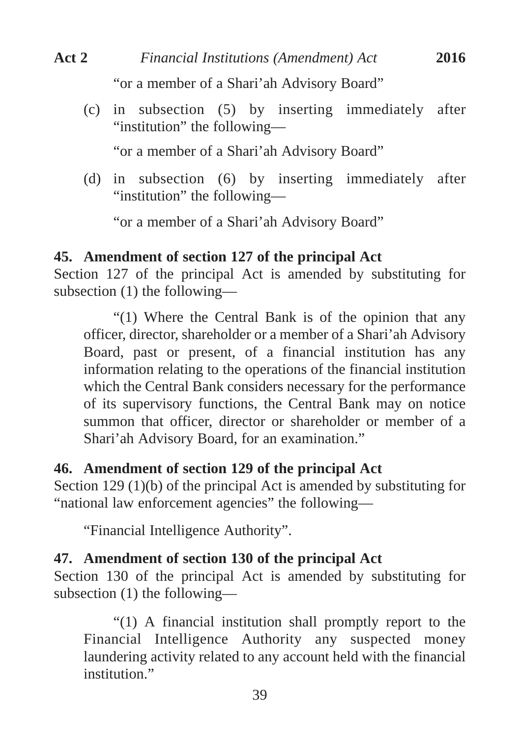(c) in subsection (5) by inserting immediately after "institution" the following—

"or a member of a Shari'ah Advisory Board"

(d) in subsection (6) by inserting immediately after "institution" the following—

"or a member of a Shari'ah Advisory Board"

# **45. Amendment of section 127 of the principal Act**

Section 127 of the principal Act is amended by substituting for subsection (1) the following—

"(1) Where the Central Bank is of the opinion that any officer, director, shareholder or a member of a Shari'ah Advisory Board, past or present, of a financial institution has any information relating to the operations of the financial institution which the Central Bank considers necessary for the performance of its supervisory functions, the Central Bank may on notice summon that officer, director or shareholder or member of a Shari'ah Advisory Board, for an examination."

# **46. Amendment of section 129 of the principal Act**

Section 129 (1)(b) of the principal Act is amended by substituting for "national law enforcement agencies" the following—

"Financial Intelligence Authority".

# **47. Amendment of section 130 of the principal Act**

Section 130 of the principal Act is amended by substituting for subsection (1) the following—

"(1) A financial institution shall promptly report to the Financial Intelligence Authority any suspected money laundering activity related to any account held with the financial institution"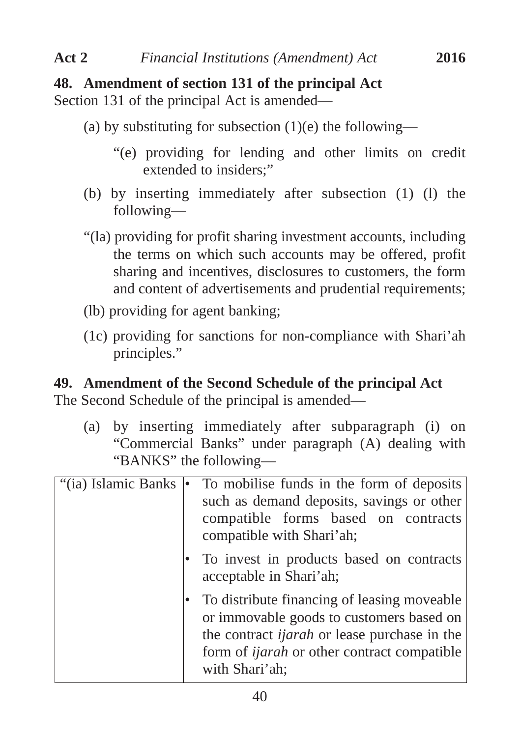# **48. Amendment of section 131 of the principal Act**

Section 131 of the principal Act is amended—

- (a) by substituting for subsection  $(1)(e)$  the following—
	- "(e) providing for lending and other limits on credit extended to insiders."
- (b) by inserting immediately after subsection (1) (l) the following—
- "(la) providing for profit sharing investment accounts, including the terms on which such accounts may be offered, profit sharing and incentives, disclosures to customers, the form and content of advertisements and prudential requirements;
- (lb) providing for agent banking;
- (1c) providing for sanctions for non-compliance with Shari'ah principles."

# **49. Amendment of the Second Schedule of the principal Act**

The Second Schedule of the principal is amended—

(a) by inserting immediately after subparagraph (i) on "Commercial Banks" under paragraph (A) dealing with "BANKS" the following—

| "(ia) Islamic Banks | e | To mobilise funds in the form of deposits<br>such as demand deposits, savings or other<br>compatible forms based on contracts<br>compatible with Shari'ah;                                                             |
|---------------------|---|------------------------------------------------------------------------------------------------------------------------------------------------------------------------------------------------------------------------|
|                     |   | To invest in products based on contracts<br>acceptable in Shari'ah;                                                                                                                                                    |
|                     |   | To distribute financing of leasing moveable<br>or immovable goods to customers based on<br>the contract <i>ijarah</i> or lease purchase in the<br>form of <i>ijarah</i> or other contract compatible<br>with Shari'ah; |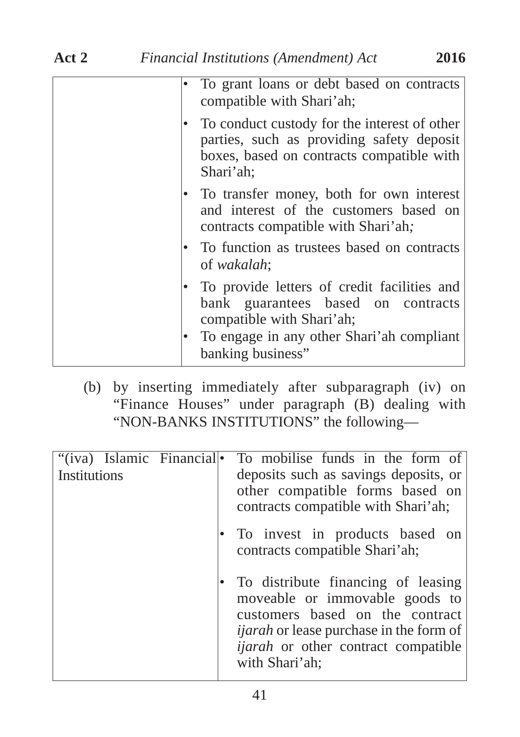| To grant loans or debt based on contracts<br>compatible with Shari'ah;                                                                                                           |
|----------------------------------------------------------------------------------------------------------------------------------------------------------------------------------|
| To conduct custody for the interest of other<br>parties, such as providing safety deposit<br>boxes, based on contracts compatible with<br>Shari'ah;                              |
| To transfer money, both for own interest<br>and interest of the customers based on<br>contracts compatible with Shari'ah;                                                        |
| To function as trustees based on contracts<br>of wakalah;                                                                                                                        |
| To provide letters of credit facilities and<br>bank guarantees based on contracts<br>compatible with Shari'ah;<br>To engage in any other Shari'ah compliant<br>banking business" |
|                                                                                                                                                                                  |

(b) by inserting immediately after subparagraph (iv) on "Finance Houses" under paragraph (B) dealing with "NON-BANKS INSTITUTIONS" the following—

| "(iva) Islamic Financial<br>Institutions | To mobilise funds in the form of<br>deposits such as savings deposits, or<br>other compatible forms based on<br>contracts compatible with Shari'ah;                                                                       |
|------------------------------------------|---------------------------------------------------------------------------------------------------------------------------------------------------------------------------------------------------------------------------|
|                                          | To invest in products based on<br>contracts compatible Shari'ah;                                                                                                                                                          |
|                                          | To distribute financing of leasing<br>moveable or immovable goods to<br>customers based on the contract<br><i>ijarah</i> or lease purchase in the form of<br><i>ijarah</i> or other contract compatible<br>with Shari'ah; |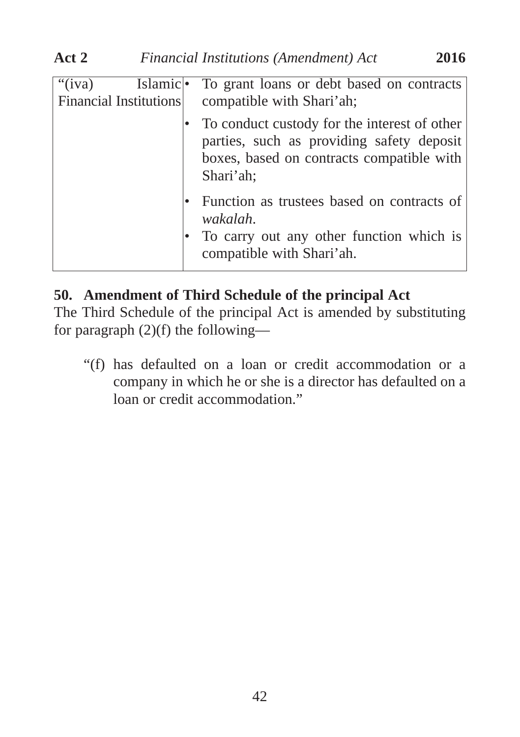| $\overline{``}(iva)$<br>Financial Institutions | Islamic • To grant loans or debt based on contracts<br>compatible with Shari'ah;                                                                    |
|------------------------------------------------|-----------------------------------------------------------------------------------------------------------------------------------------------------|
|                                                | To conduct custody for the interest of other<br>parties, such as providing safety deposit<br>boxes, based on contracts compatible with<br>Shari'ah; |
|                                                | Function as trustees based on contracts of<br>wakalah.<br>To carry out any other function which is<br>compatible with Shari'ah.                     |

# **50. Amendment of Third Schedule of the principal Act**

The Third Schedule of the principal Act is amended by substituting for paragraph  $(2)(f)$  the following—

"(f) has defaulted on a loan or credit accommodation or a company in which he or she is a director has defaulted on a loan or credit accommodation."